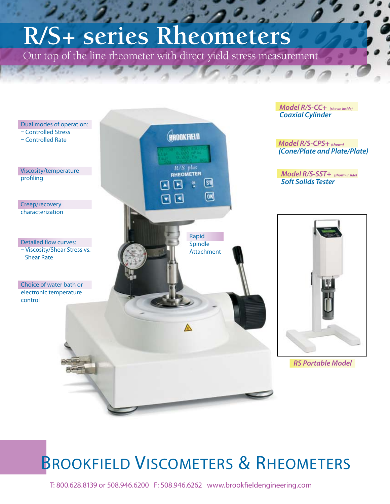## $\partial_{\mu}$ **R/S+ series Rheometers**

Our top of the line rheometer with direct yield stress measurement



## **BROOKFIELD VISCOMETERS & RHEOMETERS**

T: 800.628.8139 or 508.946.6200 F: 508.946.6262 www.brookfieldengineering.com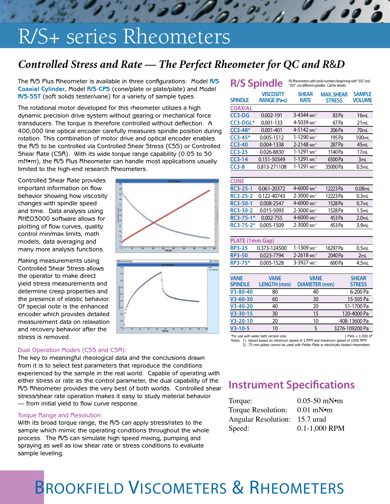## R/S+ series Rheometers

#### *Controlled Stress and Rate — The Perfect Rheometer for QC and R*&*D*

The R/S Plus Rheometer is available in three configurations: Model **R/S Coaxial Cylinder**, Model **R/S-CPS** (cone/plate or plate/plate) and Model **R/S-SST** (soft solids tester/vane) for a variety of sample types.

The rotational motor developed for this rheometer utilizes a high dynamic precision drive system without gearing or mechanical force transducers. The torque is therefore controlled without deflection. A 400,000 line optical encoder carefully measures spindle position during rotation. This combination of motor drive and optical encoder enables the R/S to be controlled via Controlled Shear Stress (CSS) or Controlled Shear Rate (CSR). With its wide torque range capability (0.05 to 50 mN•m), the R/S Plus Rheometer can handle most applications usually limited to the high-end research Rheometers.

Controlled Shear Rate provides important information on flow behavior showing how viscosity changes with spindle speed and time. Data analysis using RHEO3000 software allows for plotting of flow curves, quality control min/max limits, math models, data averaging and many more analysis functions.

Making measurements using Controlled Shear Stress allows the operator to make direct yield stress measurements and determine creep properties and the presence of elastic behavior. Of special note is the enhanced encoder which provides detailed measurement data on relaxation and recovery behavior after the stress is removed.

#### Dual Operation Modes (CSS and CSR):

The key to meaningful rheological data and the conclusions drawn from it is to select test parameters that reproduce the conditions experienced by the sample in the real world. Capable of operating with either stress or rate as the control parameter, the dual capability of the R/S Rheometer provides the very best of both worlds. Controlled shear stress/shear rate operation makes it easy to study material behavior — from initial yield to flow curve response.

#### Torque Range and Resolution:

With its broad torque range, the R/S can apply stress/rates to the sample which mimic the operating conditions throughout the whole process. The R/S can simulate high speed mixing, pumping and spraying as well as low shear rate or stress conditions to evaluate sample leveling.

| RS Rheometers with serial numbers beginning with "302" and<br><b>R/S Spindle</b><br>"303" use different spindles. Call for details. |                    |                             |                   |                   |
|-------------------------------------------------------------------------------------------------------------------------------------|--------------------|-----------------------------|-------------------|-------------------|
|                                                                                                                                     | <b>VISCOSITY</b>   | <b>SHEAR</b>                | <b>MAX. SHEAR</b> | <b>SAMPLE</b>     |
| <b>SPINDLE</b>                                                                                                                      | RANGE (Pa-s)       | <b>RATE</b>                 | <b>STRESS</b>     | <b>VOLUME</b>     |
| <b>COAXIAL</b>                                                                                                                      |                    |                             |                   |                   |
| $CC3-DG$                                                                                                                            | 0.002-191          | 3-4344 sec <sup>1</sup>     | 83 Pa             | 16ml              |
| CC3-DGL*                                                                                                                            | $0.001 - 133$      | 4-5039 sec <sup>1</sup>     | 67 Pa             | 21mL              |
| $CC3-48*$                                                                                                                           | $0.001 - 401$      | 4-5142 sec <sup>1</sup>     | 206 Pa            | 70 <sub>mL</sub>  |
| $CC3-45*$                                                                                                                           | 0.005-1512         | 1-1290 sec <sup>1</sup>     | 195 Pa            | 100 <sub>mL</sub> |
| $CC3-40$                                                                                                                            | 0.004-1338         | 2-2148 sec <sup>1</sup>     | 287 Pa            | 45mL              |
| $CC3-25$                                                                                                                            | 0.026-8830         | 1-1291 sec <sup>1</sup>     | 1140 Pa           | 17mL              |
| $CC3-14$                                                                                                                            | 0.151-50349        | 1-1291 sec <sup>1</sup>     | 6500 Pa           | 3mL               |
| $CC3-8$                                                                                                                             | 0.813-271108       | 1-1291 sec <sup>1</sup>     | 35000 Pa          | 0.5mL             |
|                                                                                                                                     |                    |                             |                   |                   |
| <b>CONE</b>                                                                                                                         |                    |                             |                   |                   |
| <b>RC3-25-1</b>                                                                                                                     | 0.061-20372        | 4-6000 sec <sup>1</sup>     | 12223 Pa          | 0.08mL            |
| RC3-25-2                                                                                                                            | 0.122-40743        | 2-3000 sec <sup>1</sup>     | 12223 Pa          | 0.3 <sub>ml</sub> |
| <b>RC3-50-1</b>                                                                                                                     | 0.008-2547         | 4-6000 sec <sup>1</sup>     | 1528 Pa           | 0.7 <sub>ml</sub> |
| <b>RC3-50-2</b>                                                                                                                     | 0.015-5093         | 2-3000 sec <sup>1</sup>     | 1528 Pa           | 1.5mL             |
| RC3-75-1*                                                                                                                           | $0.002 - 755$      | 4-6000 sec <sup>1</sup>     | 453 Pa            | 2.0 <sub>ml</sub> |
| RC3-75-2*                                                                                                                           | 0.005-1509         | 2-3000 sec <sup>1</sup>     | 453 Pa            | 3.9 <sub>ml</sub> |
|                                                                                                                                     |                    |                             |                   |                   |
| PLATE (1mm Gap)                                                                                                                     |                    |                             |                   |                   |
| <b>RP3-25</b>                                                                                                                       | 0.373-124500       | $1 - 1309$ sec <sup>1</sup> | 16297 Pa          | 0.5mL             |
| <b>RP3-50</b>                                                                                                                       | 0.023-7794         | $2 - 2618$ sec <sup>1</sup> | 2040 Pa           | 2mL               |
| RP3-75*                                                                                                                             | 0.005-1528         | 3-3927 sec <sup>-1</sup>    | 600 Pa            | 4.5mL             |
|                                                                                                                                     |                    |                             |                   |                   |
| <b>VANE</b>                                                                                                                         | <b>VANE</b>        | <b>VANE</b>                 |                   | <b>SHEAR</b>      |
| <b>SPINDLE</b>                                                                                                                      | <b>LENGTH (mm)</b> | <b>DIAMETER</b> (mm)        |                   | <b>STRESS</b>     |
| $V3 - 80 - 40$                                                                                                                      | 80                 | 40                          |                   | 6-200 Pa          |
| $V3 - 60 - 30$                                                                                                                      | 60                 | 30                          |                   | 15-505 Pa         |
| $V3 - 40 - 20$                                                                                                                      | 40                 | 20                          |                   | 51-1700 Pa        |
| $V3 - 30 - 15$                                                                                                                      | 30                 | 15                          |                   | 120-4000 Pa       |
| V3-20-10                                                                                                                            | 20                 | 10                          |                   | 408-13600 Pa      |
| $V3 - 10 - 5$                                                                                                                       | 10                 | 5                           |                   | 3276-109200 Pa    |

 $*$ For use with water bath version only  $1$  Pa $*$ s =  $1,000$  cP Notes: 1) Values based on minimum speed of 1 RPM and maximum speed of 1000 RPM

2) 75 mm plates cannot be used with Peltier Plate or electrically heated rheometers

#### **Instrument Specifications**

| Torque:                       | $0.05 - 50$ mN $\bullet$ m |
|-------------------------------|----------------------------|
| Torque Resolution:            | $0.01 \text{ mN}$          |
| Angular Resolution: 15.7 urad |                            |
| Speed:                        | $0.1 - 1,000$ RPM          |

## BROOKFIELD VISCOMETERS & RHEOMETERS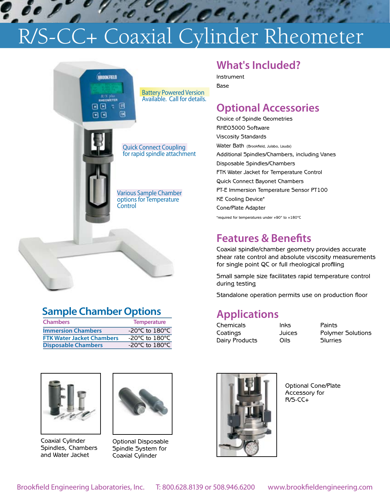# P. de Processie Coaxial Cylinder Rheometer



#### **Sample Chamber Options**

| <b>Chambers</b>                  | <b>Temperature</b>                   |
|----------------------------------|--------------------------------------|
| <b>Immersion Chambers</b>        | -20 $^{\circ}$ C to 180 $^{\circ}$ C |
| <b>FTK Water Jacket Chambers</b> | -20°C to 180°C                       |
| <b>Disposable Chambers</b>       | -20 $\degree$ C to 180 $\degree$ C   |



Coaxial Cylinder Spindles, Chambers and Water Jacket



Optional Disposable Spindle System for Coaxial Cylinder

#### **What's Included?**

 $e^{c}$ 

Instrument Base

#### **Optional Accessories**

Choice of Spindle Geometries RHEO3000 Software Viscosity Standards Water Bath (Brookfield, Julabo, Lauda) Additional Spindles/Chambers, including Vanes Disposable Spindles/Chambers FTK Water Jacket for Temperature Control Quick Connect Bayonet Chambers PT-E Immersion Temperature Sensor PT100 KE Cooling Device\* Cone/Plate Adapter \*required for temperatures under +90° to +180°C

#### **Features & Benefits**

Coaxial spindle/chamber geometry provides accurate shear rate control and absolute viscosity measurements for single point QC or full rheological profiling

Small sample size facilitates rapid temperature control during testing

Standalone operation permits use on production floor

#### **Applications**

Chemicals Inks Paints Dairy Products Oils Slurries

Coatings Juices Polymer Solutions



Optional Cone/Plate Accessory for R/S-CC+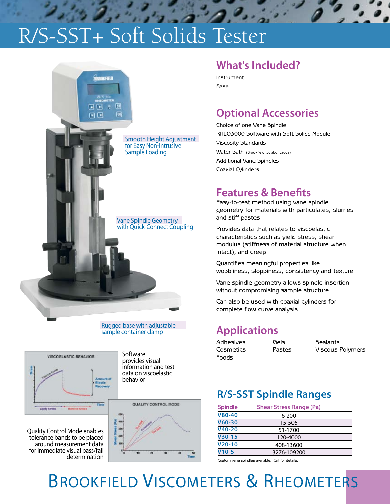## R/S-SST+ Soft Solids Tester



#### Rugged base with adjustable sample container clamp



Quality Control Mode enables tolerance bands to be placed around measurement data for immediate visual pass/fail

determination

information and test data on viscoelastic behavior

30

QUALITY CONTROL MODE

#### **What's Included?**

Instrument Base

#### **Optional Accessories**

Choice of one Vane Spindle RHEO3000 Software with Soft Solids Module Viscosity Standards Water Bath (Brookfield, Julabo, Lauda) Additional Vane Spindles Coaxial Cylinders

#### **Features & Benefits**

Easy-to-test method using vane spindle geometry for materials with particulates, slurries and stiff pastes

Provides data that relates to viscoelastic characteristics such as yield stress, shear modulus (stiffness of material structure when intact), and creep

Quantifies meaningful properties like wobbliness, sloppiness, consistency and texture

Vane spindle geometry allows spindle insertion without compromising sample structure

Can also be used with coaxial cylinders for complete flow curve analysis

#### **Applications**

Adhesives Gels Sealants Foods

Cosmetics Pastes Viscous Polymers

#### **R/S-SST Spindle Ranges**

| <b>Spindle</b> | <b>Shear Stress Range (Pa)</b> |
|----------------|--------------------------------|
| V80-40         | $6 - 200$                      |
| $V60-30$       | 15-505                         |
| $V40-20$       | 51-1700                        |
| $V30-15$       | 120-4000                       |
| $V20-10$       | 408-13600                      |
| $V10-5$        | 3276-109200                    |

Custom vane spindles available. Call for details.

## BROOKFIELD VISCOMETERS & RHEOMETERS

Tin

**Software** provides visual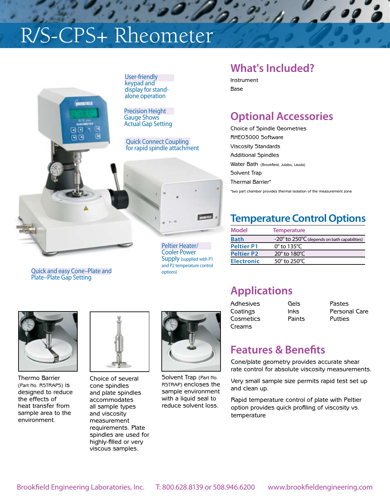## R/S-CPS+ Rheometer



Quick and easy Cone–Plate and Plate–Plate Gap Setting

Quick Connect Coupling for rapid spindle attachment



Peltier Heater/ Cooler Power Supply (supplied with P1 and P2 temperature control options)

#### **What's Included?**

Instrument Base

 $2.774$ 

#### **Optional Accessories**

Choice of Spindle Geometries RHEO3000 Software Viscosity Standards Additional Spindles Water Bath (Brookfield, Julabo, Lauda) Solvent Trap Thermal Barrier\*

\*two part chamber provides thermal isolation of the measurement zone

#### **Temperature Control Options**

| Model             | <b>Temperature</b>                           |
|-------------------|----------------------------------------------|
| <b>Bath</b>       | -20° to 250°C (depends on bath capabilities) |
| <b>Peltier P1</b> | $0^\circ$ to 135 $^\circ$ C                  |
| <b>Peltier P2</b> | 20 $\degree$ to 180 $\degree$ C              |
| <b>Electronic</b> | 50° to 250°C                                 |

Thermo Barrier (Part No. RSTRAPS) is designed to reduce the effects of heat transfer from sample area to the environment.



Choice of several cone spindles and plate spindles accommodates all sample types and viscosity measurement requirements. Plate spindles are used for highly-filled or very viscous samples.



Solvent Trap (Part No. RSTRAP) encloses the sample environment with a liquid seal to reduce solvent loss.

### **Applications**

Adhesives Gels Pastes Cosmetics Paints Putties Creams

Coatings Inks Personal Care

#### **Features & Benefits**

Cone/plate geometry provides accurate shear rate control for absolute viscosity measurements.

Very small sample size permits rapid test set up and clean up.

Rapid temperature control of plate with Peltier option provides quick profiling of viscosity vs. temperature